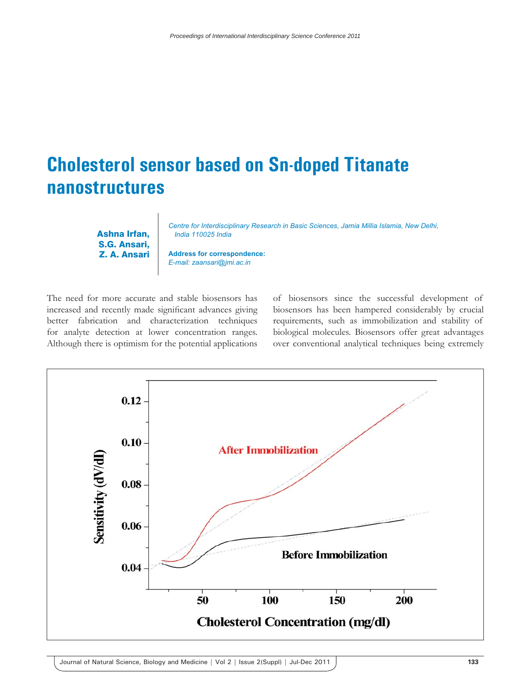## **Cholesterol sensor based on Sn-doped Titanate nanostructures**

Ashna Irfan, S.G. Ansari, Z. A. Ansari *Centre for Interdisciplinary Research in Basic Sciences, Jamia Millia Islamia, New Delhi, India 110025 India*

**Address for correspondence:** *E-mail: zaansari@jmi.ac.in*

The need for more accurate and stable biosensors has increased and recently made significant advances giving better fabrication and characterization techniques for analyte detection at lower concentration ranges. Although there is optimism for the potential applications

of biosensors since the successful development of biosensors has been hampered considerably by crucial requirements, such as immobilization and stability of biological molecules. Biosensors offer great advantages over conventional analytical techniques being extremely